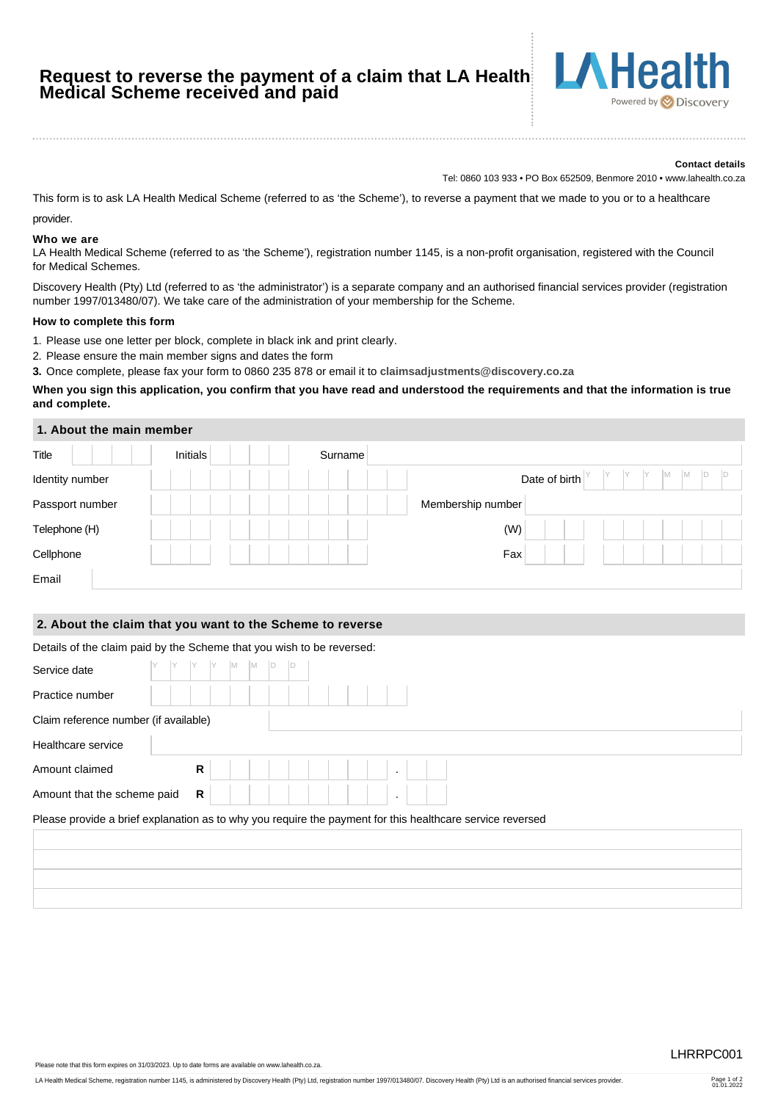# **Request to reverse the payment of a claim that LA Health Medical Scheme received and paid**



#### **Contact details**

Tel: 0860 103 933 • PO Box 652509, Benmore 2010 • www.lahealth.co.za

This form is to ask LA Health Medical Scheme (referred to as 'the Scheme'), to reverse a payment that we made to you or to a healthcare provider.

#### **Who we are**

LA Health Medical Scheme (referred to as 'the Scheme'), registration number 1145, is a non-profit organisation, registered with the Council for Medical Schemes.

Discovery Health (Pty) Ltd (referred to as 'the administrator') is a separate company and an authorised financial services provider (registration number 1997/013480/07). We take care of the administration of your membership for the Scheme.

#### **How to complete this form**

- 1. Please use one letter per block, complete in black ink and print clearly.
- 2. Please ensure the main member signs and dates the form
- **3.** Once complete, please fax your form to 0860 235 878 or email it to **[claimsadjustments@discovery.co.za](mailto:claimsadjustments@discovery.co.za)**

## **When you sign this application, you confirm that you have read and understood the requirements and that the information is true and complete.**

#### **1. About the main member**

| Title           | Initials | Surname |                            |
|-----------------|----------|---------|----------------------------|
| Identity number |          |         | IM.<br>1M<br>Date of birth |
| Passport number |          |         | Membership number          |
| Telephone (H)   |          |         | (W)                        |
| Cellphone       |          |         | Fax                        |
| Email           |          |         |                            |

## **2. About the claim that you want to the Scheme to reverse**

## Details of the claim paid by the Scheme that you wish to be reversed:

| Service date                                                                                              |  |   | $Y$ M | $M$ D |  |  |  |  |  |  |  |  |  |  |  |  |  |
|-----------------------------------------------------------------------------------------------------------|--|---|-------|-------|--|--|--|--|--|--|--|--|--|--|--|--|--|
| Practice number                                                                                           |  |   |       |       |  |  |  |  |  |  |  |  |  |  |  |  |  |
| Claim reference number (if available)                                                                     |  |   |       |       |  |  |  |  |  |  |  |  |  |  |  |  |  |
| Healthcare service                                                                                        |  |   |       |       |  |  |  |  |  |  |  |  |  |  |  |  |  |
| Amount claimed                                                                                            |  | R |       |       |  |  |  |  |  |  |  |  |  |  |  |  |  |
| Amount that the scheme paid                                                                               |  | R |       |       |  |  |  |  |  |  |  |  |  |  |  |  |  |
| Please provide a brief explanation as to why you require the payment for this healthcare service reversed |  |   |       |       |  |  |  |  |  |  |  |  |  |  |  |  |  |
|                                                                                                           |  |   |       |       |  |  |  |  |  |  |  |  |  |  |  |  |  |